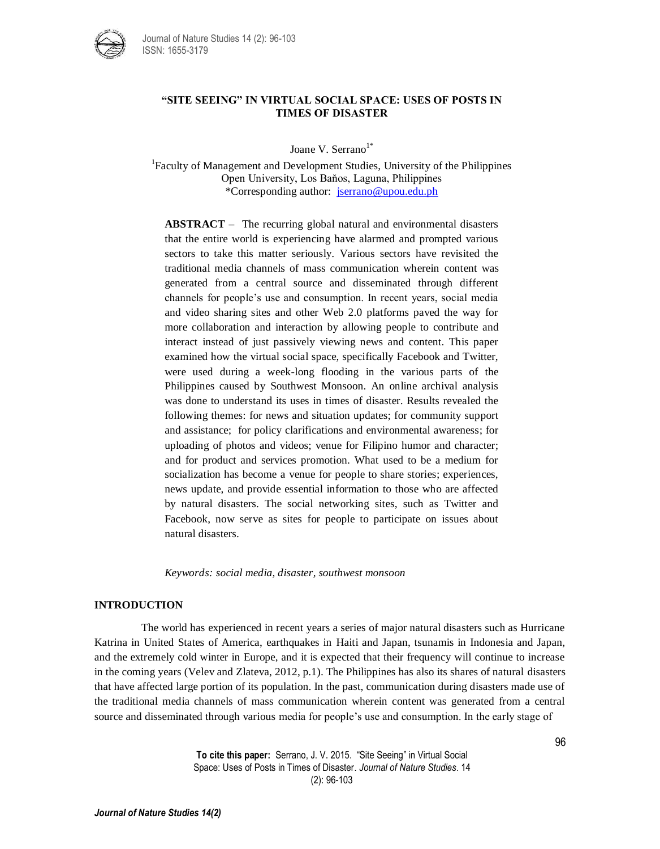

## **"SITE SEEING" IN VIRTUAL SOCIAL SPACE: USES OF POSTS IN TIMES OF DISASTER**

Joane V. Serrano<sup>1\*</sup>

<sup>1</sup>Faculty of Management and Development Studies, University of the Philippines Open University, Los Baňos, Laguna, Philippines \*Corresponding author: [jserrano@upou.edu.ph](mailto:jserrano@upou.edu.ph)

**ABSTRACT –** The recurring global natural and environmental disasters that the entire world is experiencing have alarmed and prompted various sectors to take this matter seriously. Various sectors have revisited the traditional media channels of mass communication wherein content was generated from a central source and disseminated through different channels for people's use and consumption. In recent years, social media and video sharing sites and other Web 2.0 platforms paved the way for more collaboration and interaction by allowing people to contribute and interact instead of just passively viewing news and content. This paper examined how the virtual social space, specifically Facebook and Twitter, were used during a week-long flooding in the various parts of the Philippines caused by Southwest Monsoon. An online archival analysis was done to understand its uses in times of disaster. Results revealed the following themes: for news and situation updates; for community support and assistance; for policy clarifications and environmental awareness; for uploading of photos and videos; venue for Filipino humor and character; and for product and services promotion. What used to be a medium for socialization has become a venue for people to share stories; experiences, news update, and provide essential information to those who are affected by natural disasters. The social networking sites, such as Twitter and Facebook, now serve as sites for people to participate on issues about natural disasters.

*Keywords: social media, disaster, southwest monsoon*

## **INTRODUCTION**

The world has experienced in recent years a series of major natural disasters such as Hurricane Katrina in United States of America, earthquakes in Haiti and Japan, tsunamis in Indonesia and Japan, and the extremely cold winter in Europe, and it is expected that their frequency will continue to increase in the coming years (Velev and Zlateva, 2012, p.1). The Philippines has also its shares of natural disasters that have affected large portion of its population. In the past, communication during disasters made use of the traditional media channels of mass communication wherein content was generated from a central source and disseminated through various media for people's use and consumption. In the early stage of

> **To cite this paper:** Serrano, J. V. 2015. "Site Seeing" in Virtual Social Space: Uses of Posts in Times of Disaster. *Journal of Nature Studies*. 14 (2): 96-103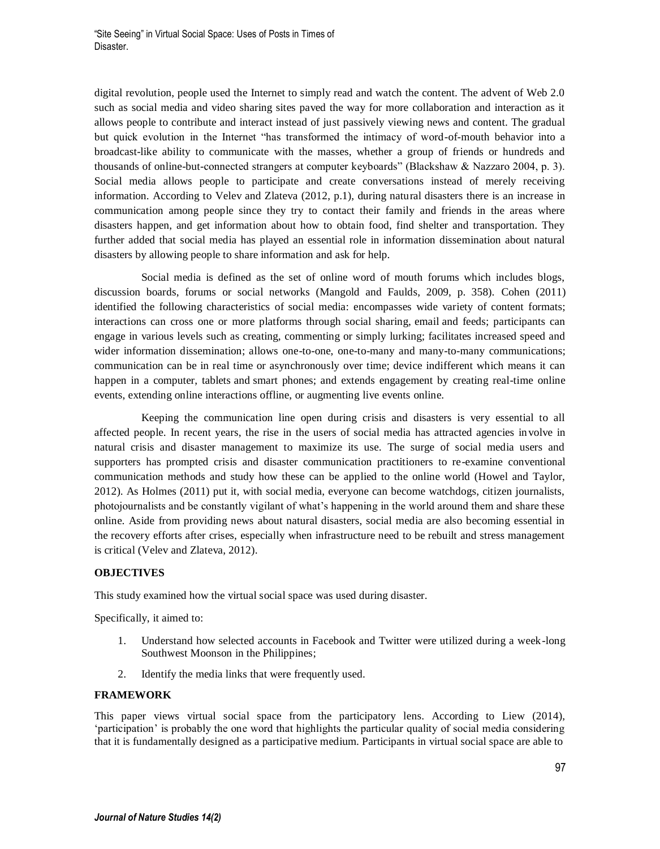"Site Seeing" in Virtual Social Space: Uses of Posts in Times of Disaster.

digital revolution, people used the Internet to simply read and watch the content. The advent of Web 2.0 such as social media and video sharing sites paved the way for more collaboration and interaction as it allows people to contribute and interact instead of just passively viewing news and content. The gradual but quick evolution in the Internet "has transformed the intimacy of word-of-mouth behavior into a broadcast-like ability to communicate with the masses, whether a group of friends or hundreds and thousands of online-but-connected strangers at computer keyboards" (Blackshaw & Nazzaro 2004, p. 3). Social media allows people to participate and create conversations instead of merely receiving information. According to Velev and Zlateva (2012, p.1), during natural disasters there is an increase in communication among people since they try to contact their family and friends in the areas where disasters happen, and get information about how to obtain food, find shelter and transportation. They further added that social media has played an essential role in information dissemination about natural disasters by allowing people to share information and ask for help.

Social media is defined as the set of online word of mouth forums which includes blogs, discussion boards, forums or social networks (Mangold and Faulds, 2009, p. 358). Cohen (2011) identified the following characteristics of social media: encompasses wide variety of content formats; interactions can cross one or more platforms through social sharing, email and feeds; participants can engage in various levels such as creating, commenting or simply lurking; facilitates increased speed and wider information dissemination; allows one-to-one, one-to-many and many-to-many communications; communication can be in real time or asynchronously over time; device indifferent which means it can happen in a computer, tablets and smart phones; and extends engagement by creating real-time online events, extending online interactions offline, or augmenting [live events](http://heidicohen.com/social-media-day-2010-lessons/) online.

Keeping the communication line open during crisis and disasters is very essential to all affected people. In recent years, the rise in the users of social media has attracted agencies in volve in natural crisis and disaster management to maximize its use. The surge of social media users and supporters has prompted crisis and disaster communication practitioners to re-examine conventional communication methods and study how these can be applied to the online world (Howel and Taylor, 2012). As Holmes (2011) put it, with social media, everyone can become watchdogs, citizen journalists, photojournalists and be constantly vigilant of what's happening in the world around them and share these online. Aside from providing news about natural disasters, social media are also becoming essential in the recovery efforts after crises, especially when infrastructure need to be rebuilt and stress management is critical (Velev and Zlateva, 2012).

## **OBJECTIVES**

This study examined how the virtual social space was used during disaster.

Specifically, it aimed to:

- 1. Understand how selected accounts in Facebook and Twitter were utilized during a week-long Southwest Moonson in the Philippines;
- 2. Identify the media links that were frequently used.

### **FRAMEWORK**

This paper views virtual social space from the participatory lens. According to Liew (2014), 'participation' is probably the one word that highlights the particular quality of social media considering that it is fundamentally designed as a participative medium. Participants in virtual social space are able to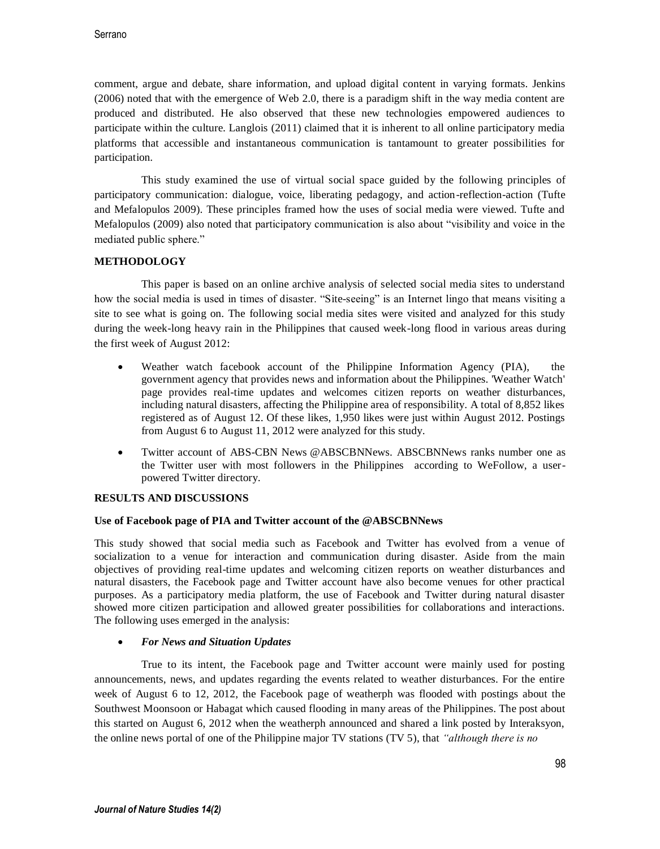comment, argue and debate, share information, and upload digital content in varying formats. Jenkins (2006) noted that with the emergence of Web 2.0, there is a paradigm shift in the way media content are produced and distributed. He also observed that these new technologies empowered audiences to participate within the culture. Langlois (2011) claimed that it is inherent to all online participatory media platforms that accessible and instantaneous communication is tantamount to greater possibilities for participation.

This study examined the use of virtual social space guided by the following principles of participatory communication: dialogue, voice, liberating pedagogy, and action-reflection-action (Tufte and Mefalopulos 2009). These principles framed how the uses of social media were viewed. Tufte and Mefalopulos (2009) also noted that participatory communication is also about "visibility and voice in the mediated public sphere."

# **METHODOLOGY**

This paper is based on an online archive analysis of selected social media sites to understand how the social media is used in times of disaster. "Site-seeing" is an Internet lingo that means visiting a site to see what is going on. The following social media sites were visited and analyzed for this study during the week-long heavy rain in the Philippines that caused week-long flood in various areas during the first week of August 2012:

- Weather watch facebook account of the Philippine Information Agency (PIA), the government agency that provides news and information about the Philippines. 'Weather Watch' page provides real-time updates and welcomes citizen reports on weather disturbances, including natural disasters, affecting the Philippine area of responsibility. A total of 8,852 likes registered as of August 12. Of these likes, 1,950 likes were just within August 2012. Postings from August 6 to August 11, 2012 were analyzed for this study.
- Twitter account of ABS-CBN News [@ABSCBNNews.](https://twitter.com/ABSCBNNews) ABSCBNNews ranks number one as the Twitter user with most followers in the Philippines according to WeFollow, a userpowered Twitter directory.

## **RESULTS AND DISCUSSIONS**

## **Use of Facebook page of PIA and Twitter account of the @ABSCBNNews**

This study showed that social media such as Facebook and Twitter has evolved from a venue of socialization to a venue for interaction and communication during disaster. Aside from the main objectives of providing real-time updates and welcoming citizen reports on weather disturbances and natural disasters, the Facebook page and Twitter account have also become venues for other practical purposes. As a participatory media platform, the use of Facebook and Twitter during natural disaster showed more citizen participation and allowed greater possibilities for collaborations and interactions. The following uses emerged in the analysis:

# *For News and Situation Updates*

True to its intent, the Facebook page and Twitter account were mainly used for posting announcements, news, and updates regarding the events related to weather disturbances. For the entire week of August 6 to 12, 2012, the Facebook page of weatherph was flooded with postings about the Southwest Moonsoon or Habagat which caused flooding in many areas of the Philippines. The post about this started on August 6, 2012 when the weatherph announced and shared a link posted by Interaksyon, the online news portal of one of the Philippine major TV stations (TV 5), that *"although there is no*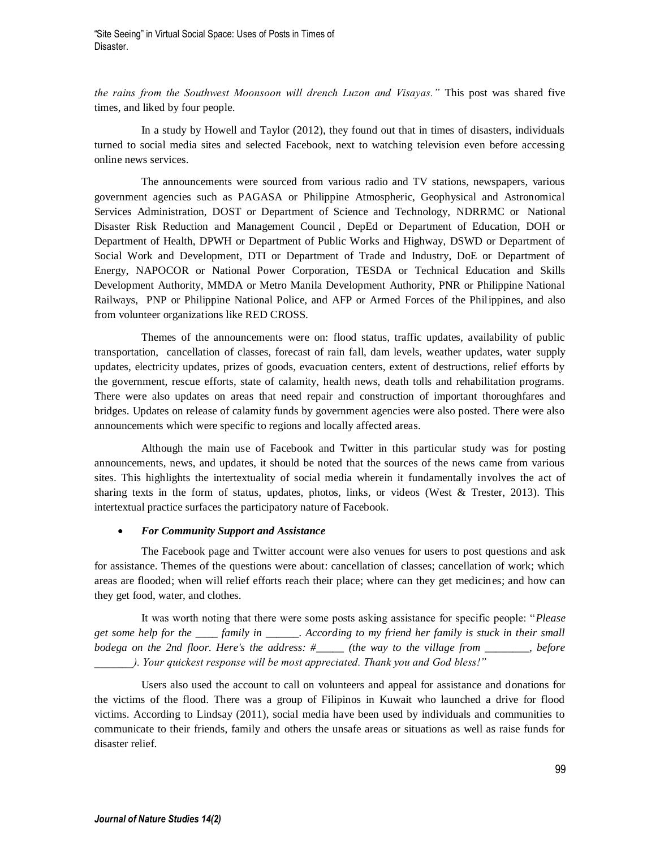"Site Seeing" in Virtual Social Space: Uses of Posts in Times of Disaster.

*the rains from the Southwest Moonsoon will drench Luzon and Visayas."* This post was shared five times, and liked by four people.

In a study by Howell and Taylor (2012), they found out that in times of disasters, individuals turned to social media sites and selected Facebook, next to watching television even before accessing online news services.

The announcements were sourced from various radio and TV stations, newspapers, various government agencies such as PAGASA or Philippine Atmospheric, Geophysical and Astronomical Services Administration, DOST or Department of Science and Technology, NDRRMC or National Disaster Risk Reduction and Management Council , DepEd or Department of Education, DOH or Department of Health, DPWH or Department of Public Works and Highway, DSWD or Department of Social Work and Development, DTI or Department of Trade and Industry, DoE or Department of Energy, NAPOCOR or National Power Corporation, TESDA or Technical Education and Skills Development Authority, MMDA or Metro Manila Development Authority, PNR or Philippine National Railways, PNP or Philippine National Police, and AFP or Armed Forces of the Philippines, and also from volunteer organizations like RED CROSS.

Themes of the announcements were on: flood status, traffic updates, availability of public transportation, cancellation of classes, forecast of rain fall, dam levels, weather updates, water supply updates, electricity updates, prizes of goods, evacuation centers, extent of destructions, relief efforts by the government, rescue efforts, state of calamity, health news, death tolls and rehabilitation programs. There were also updates on areas that need repair and construction of important thoroughfares and bridges. Updates on release of calamity funds by government agencies were also posted. There were also announcements which were specific to regions and locally affected areas.

Although the main use of Facebook and Twitter in this particular study was for posting announcements, news, and updates, it should be noted that the sources of the news came from various sites. This highlights the intertextuality of social media wherein it fundamentally involves the act of sharing texts in the form of status, updates, photos, links, or videos (West & Trester, 2013). This intertextual practice surfaces the participatory nature of Facebook.

#### *For Community Support and Assistance*

The Facebook page and Twitter account were also venues for users to post questions and ask for assistance. Themes of the questions were about: cancellation of classes; cancellation of work; which areas are flooded; when will relief efforts reach their place; where can they get medicines; and how can they get food, water, and clothes.

It was worth noting that there were some posts asking assistance for specific people: "*Please get some help for the \_\_\_\_ family in \_\_\_\_\_\_. According to my friend her family is stuck in their small bodega on the 2nd floor. Here's the address: #\_\_\_\_\_ (the way to the village from \_\_\_\_\_\_\_\_, before \_\_\_\_\_\_\_). Your quickest response will be most appreciated. Thank you and God bless!"*

Users also used the account to call on volunteers and appeal for assistance and donations for the victims of the flood. There was a group of Filipinos in Kuwait who launched a drive for flood victims. According to Lindsay (2011), social media have been used by individuals and communities to communicate to their friends, family and others the unsafe areas or situations as well as raise funds for disaster relief.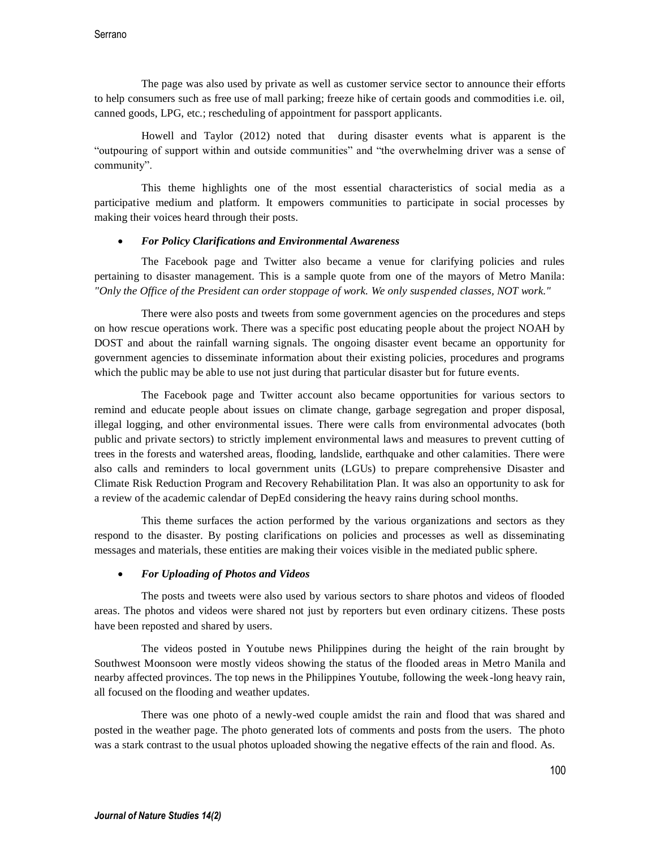The page was also used by private as well as customer service sector to announce their efforts to help consumers such as free use of mall parking; freeze hike of certain goods and commodities i.e. oil, canned goods, LPG, etc.; rescheduling of appointment for passport applicants.

Howell and Taylor (2012) noted that during disaster events what is apparent is the "outpouring of support within and outside communities" and "the overwhelming driver was a sense of community".

This theme highlights one of the most essential characteristics of social media as a participative medium and platform. It empowers communities to participate in social processes by making their voices heard through their posts.

## *For Policy Clarifications and Environmental Awareness*

The Facebook page and Twitter also became a venue for clarifying policies and rules pertaining to disaster management. This is a sample quote from one of the mayors of Metro Manila: *"Only the Office of the President can order stoppage of work. We only suspended classes, NOT work."*

There were also posts and tweets from some government agencies on the procedures and steps on how rescue operations work. There was a specific post educating people about the project NOAH by DOST and about the rainfall warning signals. The ongoing disaster event became an opportunity for government agencies to disseminate information about their existing policies, procedures and programs which the public may be able to use not just during that particular disaster but for future events.

The Facebook page and Twitter account also became opportunities for various sectors to remind and educate people about issues on climate change, garbage segregation and proper disposal, illegal logging, and other environmental issues. There were calls from environmental advocates (both public and private sectors) to strictly implement environmental laws and measures to prevent cutting of trees in the forests and watershed areas, flooding, landslide, earthquake and other calamities. There were also calls and reminders to local government units (LGUs) to prepare comprehensive Disaster and Climate Risk Reduction Program and Recovery Rehabilitation Plan. It was also an opportunity to ask for a review of the academic calendar of DepEd considering the heavy rains during school months.

This theme surfaces the action performed by the various organizations and sectors as they respond to the disaster. By posting clarifications on policies and processes as well as disseminating messages and materials, these entities are making their voices visible in the mediated public sphere.

### *For Uploading of Photos and Videos*

The posts and tweets were also used by various sectors to share photos and videos of flooded areas. The photos and videos were shared not just by reporters but even ordinary citizens. These posts have been reposted and shared by users.

The videos posted in Youtube news Philippines during the height of the rain brought by Southwest Moonsoon were mostly videos showing the status of the flooded areas in Metro Manila and nearby affected provinces. The top news in the Philippines Youtube, following the week-long heavy rain, all focused on the flooding and weather updates.

There was one photo of a newly-wed couple amidst the rain and flood that was shared and posted in the weather page. The photo generated lots of comments and posts from the users. The photo was a stark contrast to the usual photos uploaded showing the negative effects of the rain and flood. As.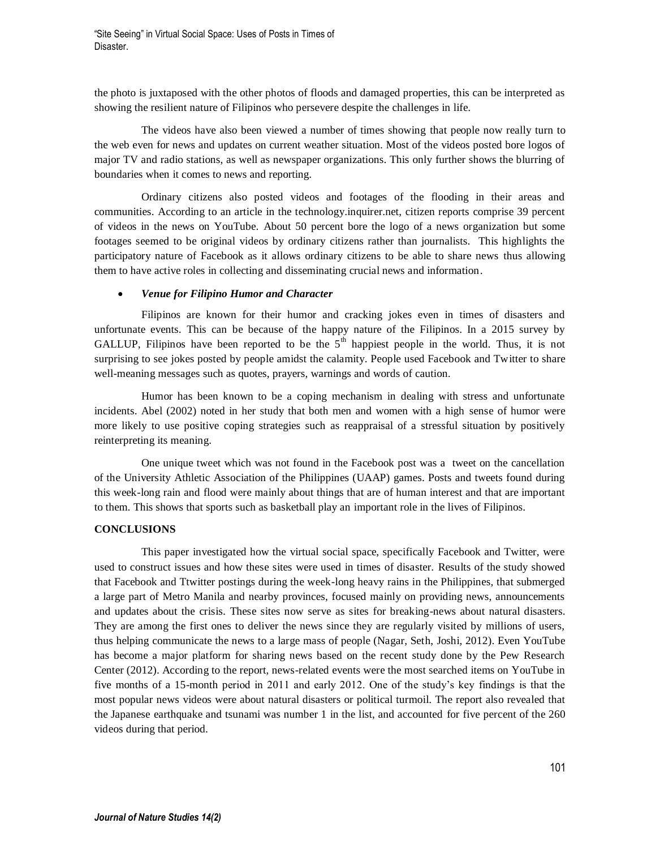the photo is juxtaposed with the other photos of floods and damaged properties, this can be interpreted as showing the resilient nature of Filipinos who persevere despite the challenges in life.

The videos have also been viewed a number of times showing that people now really turn to the web even for news and updates on current weather situation. Most of the videos posted bore logos of major TV and radio stations, as well as newspaper organizations. This only further shows the blurring of boundaries when it comes to news and reporting.

Ordinary citizens also posted videos and footages of the flooding in their areas and communities. According to an article in the technology.inquirer.net, citizen reports comprise 39 percent of videos in the news on YouTube. About 50 percent bore the logo of a news organization but some footages seemed to be original videos by ordinary citizens rather than journalists. This highlights the participatory nature of Facebook as it allows ordinary citizens to be able to share news thus allowing them to have active roles in collecting and disseminating crucial news and information.

### *Venue for Filipino Humor and Character*

Filipinos are known for their humor and cracking jokes even in times of disasters and unfortunate events. This can be because of the happy nature of the Filipinos. In a 2015 survey by GALLUP, Filipinos have been reported to be the  $5<sup>th</sup>$  happiest people in the world. Thus, it is not surprising to see jokes posted by people amidst the calamity. People used Facebook and Twitter to share well-meaning messages such as quotes, prayers, warnings and words of caution.

Humor has been known to be a coping mechanism in dealing with stress and unfortunate incidents. Abel (2002) noted in her study that both men and women with a high sense of humor were more likely to use positive coping strategies such as reappraisal of a stressful situation by positively reinterpreting its meaning.

One unique tweet which was not found in the Facebook post was a tweet on the cancellation of the University Athletic Association of the Philippines (UAAP) games. Posts and tweets found during this week-long rain and flood were mainly about things that are of human interest and that are important to them. This shows that sports such as basketball play an important role in the lives of Filipinos.

### **CONCLUSIONS**

This paper investigated how the virtual social space, specifically Facebook and Twitter, were used to construct issues and how these sites were used in times of disaster. Results of the study showed that Facebook and Ttwitter postings during the week-long heavy rains in the Philippines, that submerged a large part of Metro Manila and nearby provinces, focused mainly on providing news, announcements and updates about the crisis. These sites now serve as sites for breaking-news about natural disasters. They are among the first ones to deliver the news since they are regularly visited by millions of users, thus helping communicate the news to a large mass of people (Nagar, Seth, Joshi, 2012). Even YouTube has become a major platform for sharing news based on the recent study done by the Pew Research Center (2012). According to the report, news-related events were the most searched items on YouTube in five months of a 15-month period in 2011 and early 2012. One of the study's key findings is that the most popular news videos were about natural disasters or political turmoil. The report also revealed that the Japanese earthquake and tsunami was number 1 in the list, and accounted for five percent of the 260 videos during that period.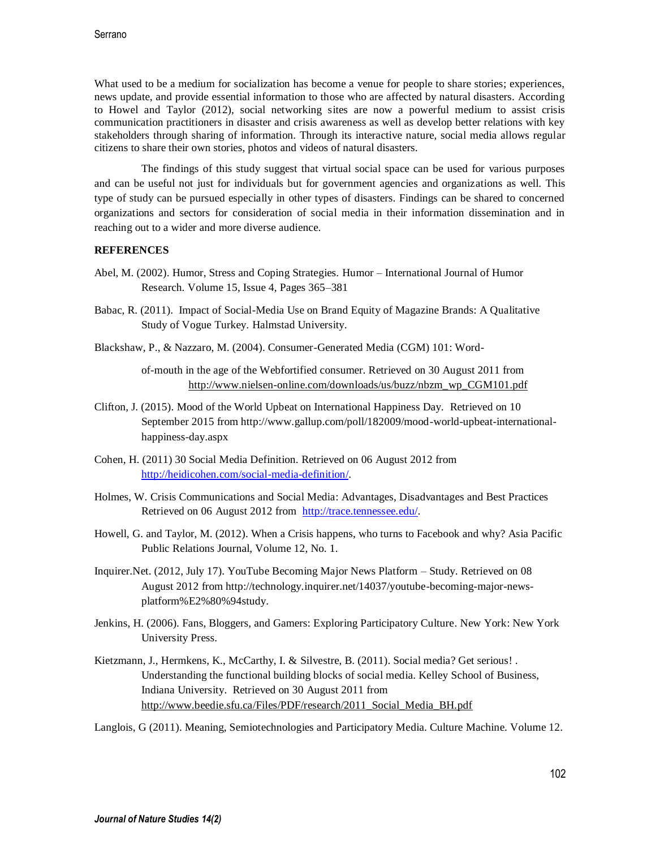What used to be a medium for socialization has become a venue for people to share stories; experiences, news update, and provide essential information to those who are affected by natural disasters. According to Howel and Taylor (2012), social networking sites are now a powerful medium to assist crisis communication practitioners in disaster and crisis awareness as well as develop better relations with key stakeholders through sharing of information. Through its interactive nature, social media allows regular citizens to share their own stories, photos and videos of natural disasters.

The findings of this study suggest that virtual social space can be used for various purposes and can be useful not just for individuals but for government agencies and organizations as well. This type of study can be pursued especially in other types of disasters. Findings can be shared to concerned organizations and sectors for consideration of social media in their information dissemination and in reaching out to a wider and more diverse audience.

### **REFERENCES**

- Abel, M. (2002). Humor, Stress and Coping Strategies. Humor International Journal of Humor Research. Volume 15, Issue 4, Pages 365–381
- Babac, R. (2011). Impact of Social-Media Use on Brand Equity of Magazine Brands: A Qualitative Study of Vogue Turkey. Halmstad University.
- Blackshaw, P., & Nazzaro, M. (2004). Consumer-Generated Media (CGM) 101: Word-

of-mouth in the age of the Webfortified consumer. Retrieved on 30 August 2011 from [http://www.nielsen-online.com/downloads/us/buzz/nbzm\\_wp\\_CGM101.pdf](http://www.nielsen-online.com/downloads/us/buzz/nbzm_wp_CGM101.pdf)

- Clifton, J. (2015). Mood of the World Upbeat on International Happiness Day. Retrieved on 10 September 2015 from http://www.gallup.com/poll/182009/mood-world-upbeat-internationalhappiness-day.aspx
- Cohen, H. (2011) 30 Social Media Definition. Retrieved on 06 August 2012 from [http://heidicohen.com/social-media-definition/.](http://heidicohen.com/social-media-definition/)
- Holmes, W. Crisis Communications and Social Media: Advantages, Disadvantages and Best Practices Retrieved on 06 August 2012 from [http://trace.tennessee.edu/.](http://trace.tennessee.edu/)
- Howell, G. and Taylor, M. (2012). When a Crisis happens, who turns to Facebook and why? Asia Pacific Public Relations Journal, Volume 12, No. 1.
- Inquirer.Net. (2012, July 17). YouTube Becoming Major News Platform Study. Retrieved on 08 August 2012 from http://technology.inquirer.net/14037/youtube-becoming-major-newsplatform%E2%80%94study.
- Jenkins, H. (2006). Fans, Bloggers, and Gamers: Exploring Participatory Culture. New York: New York University Press.
- Kietzmann, J., Hermkens, K., McCarthy, I. & Silvestre, B. (2011). Social media? Get serious!. Understanding the functional building blocks of social media. Kelley School of Business, Indiana University. Retrieved on 30 August 2011 from [http://www.beedie.sfu.ca/Files/PDF/research/2011\\_Social\\_Media\\_BH.pdf](http://www.beedie.sfu.ca/Files/PDF/research/2011_Social_Media_BH.pdf)

Langlois, G (2011). Meaning, Semiotechnologies and Participatory Media. Culture Machine. Volume 12.